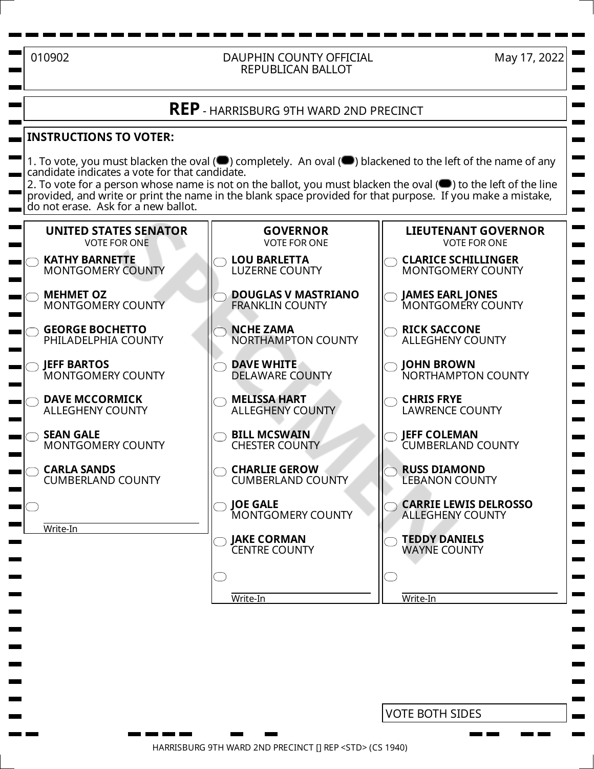## 010902 DAUPHIN COUNTY OFFICIAL REPUBLICAN BALLOT

May 17, 2022

## **REP** - HARRISBURG 9TH WARD 2ND PRECINCT

## **INSTRUCTIONS TO VOTER:**

1. To vote, you must blacken the oval  $(\blacksquare)$  completely. An oval  $(\blacksquare)$  blackened to the left of the name of any candidate indicates a vote for that candidate.

2. To vote for a person whose name is not on the ballot, you must blacken the oval ( $\bullet$ ) to the left of the line provided, and write or print the name in the blank space provided for that purpose. If you make a mistake, do not erase. Ask for a new ballot.